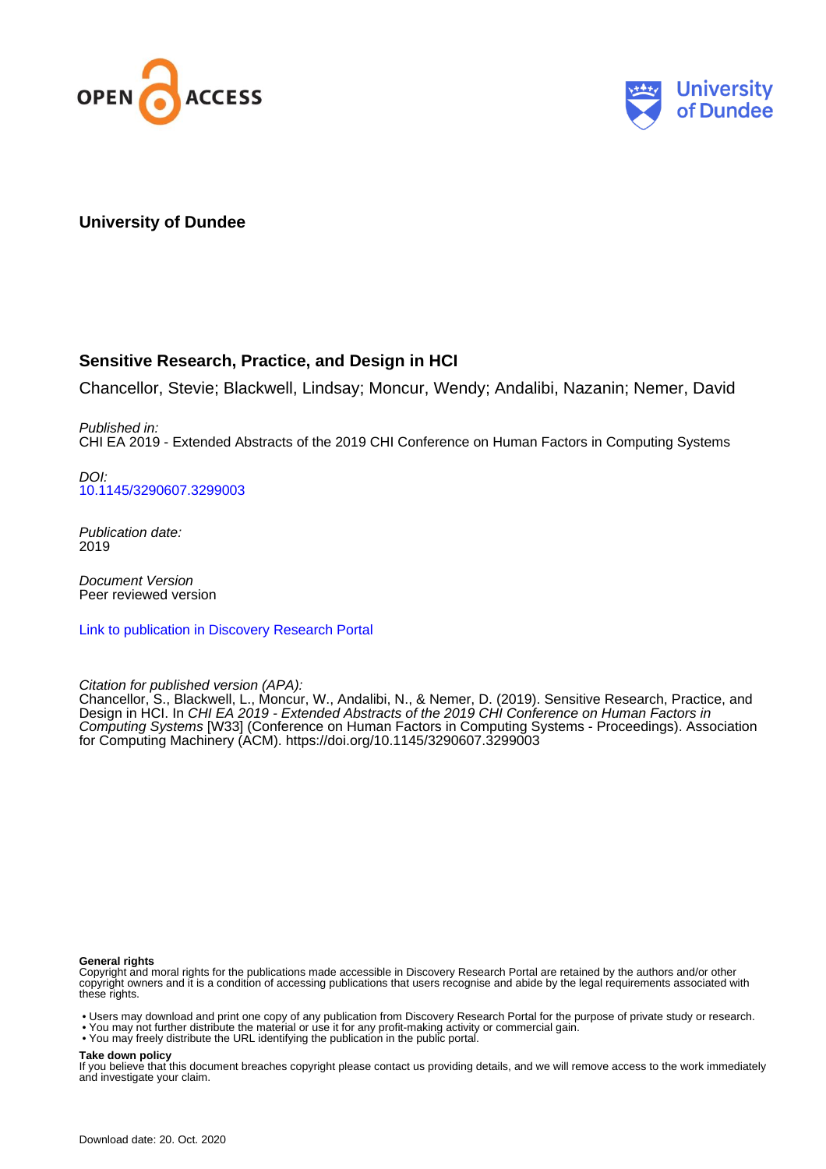



# **University of Dundee**

# **Sensitive Research, Practice, and Design in HCI**

Chancellor, Stevie; Blackwell, Lindsay; Moncur, Wendy; Andalibi, Nazanin; Nemer, David

Published in: CHI EA 2019 - Extended Abstracts of the 2019 CHI Conference on Human Factors in Computing Systems

DOI: [10.1145/3290607.3299003](https://doi.org/10.1145/3290607.3299003)

Publication date: 2019

Document Version Peer reviewed version

[Link to publication in Discovery Research Portal](https://discovery.dundee.ac.uk/en/publications/680abe03-766d-45af-ab70-3f000a89d76c)

Citation for published version (APA):

Chancellor, S., Blackwell, L., Moncur, W., Andalibi, N., & Nemer, D. (2019). Sensitive Research, Practice, and Design in HCI. In CHI EA 2019 - Extended Abstracts of the 2019 CHI Conference on Human Factors in Computing Systems [W33] (Conference on Human Factors in Computing Systems - Proceedings). Association for Computing Machinery (ACM). <https://doi.org/10.1145/3290607.3299003>

#### **General rights**

Copyright and moral rights for the publications made accessible in Discovery Research Portal are retained by the authors and/or other copyright owners and it is a condition of accessing publications that users recognise and abide by the legal requirements associated with these rights.

- Users may download and print one copy of any publication from Discovery Research Portal for the purpose of private study or research.
- You may not further distribute the material or use it for any profit-making activity or commercial gain.
- You may freely distribute the URL identifying the publication in the public portal.

#### **Take down policy**

If you believe that this document breaches copyright please contact us providing details, and we will remove access to the work immediately and investigate your claim.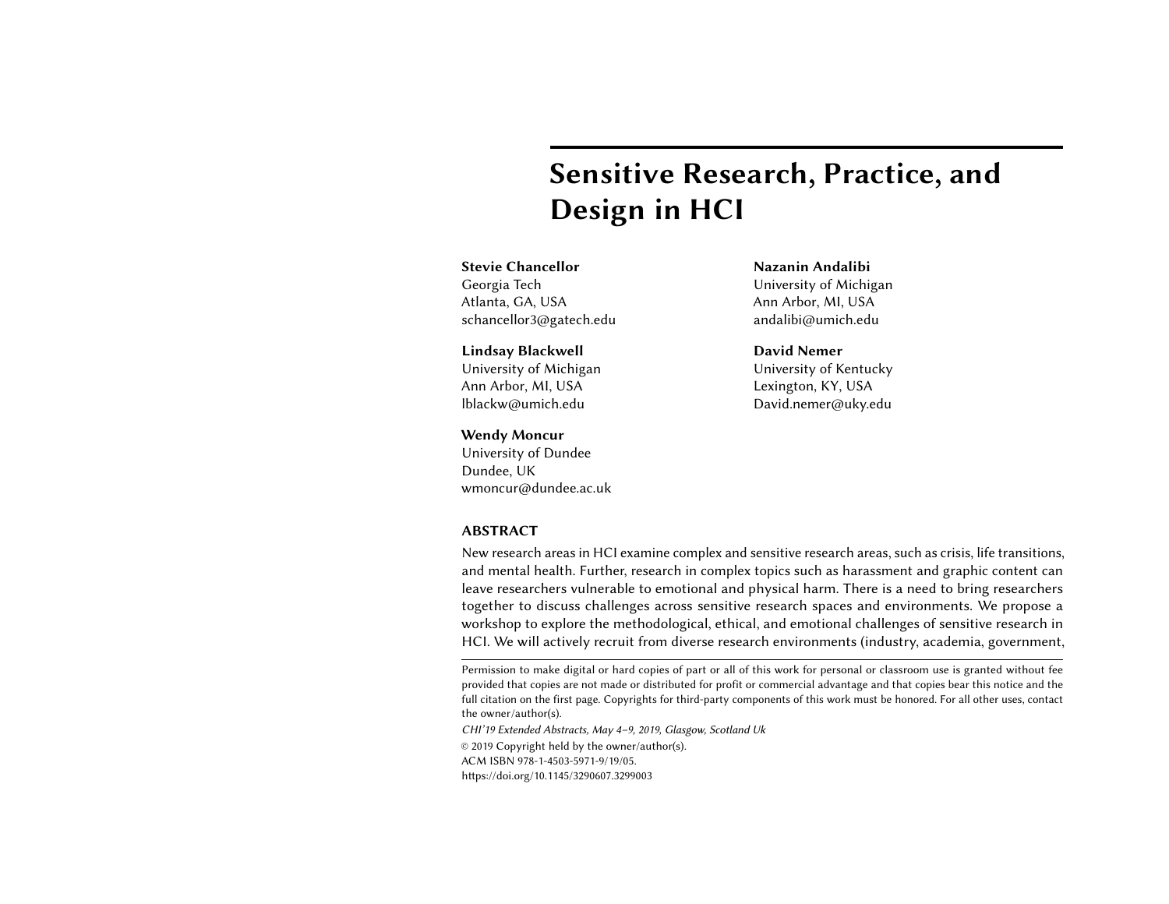# Sensitive Research, Practice, and Design in HCI

#### Stevie Chancellor

Georgia Tech Atlanta, GA, USA schancellor3@gatech.edu

## Lindsay Blackwell University of Michigan Ann Arbor, MI, USA

lblackw@umich.edu

#### Wendy Moncur

University of Dundee Dundee, UK wmoncur@dundee.ac.uk

# Nazanin Andalibi University of Michigan Ann Arbor, MI, USA andalibi@umich.edu

# David Nemer University of Kentucky Lexington, KY, USA David.nemer@uky.edu

#### ABSTRACT

New research areas in HCI examine complex and sensitive research areas, such as crisis, life transitions, and mental health. Further, research in complex topics such as harassment and graphic content can leave researchers vulnerable to emotional and physical harm. There is a need to bring researchers together to discuss challenges across sensitive research spaces and environments. We propose a workshop to explore the methodological, ethical, and emotional challenges of sensitive research in HCI. We will actively recruit from diverse research environments (industry, academia, government,

Permission to make digital or hard copies of part or all of this work for personal or classroom use is granted without fee provided that copies are not made or distributed for profit or commercial advantage and that copies bear this notice and the full citation on the first page. Copyrights for third-party components of this work must be honored. For all other uses, contact the owner/author(s).

CHI'19 Extended Abstracts, May 4–9, 2019, Glasgow, Scotland Uk © 2019 Copyright held by the owner/author(s).

ACM ISBN 978-1-4503-5971-9/19/05.

<https://doi.org/10.1145/3290607.3299003>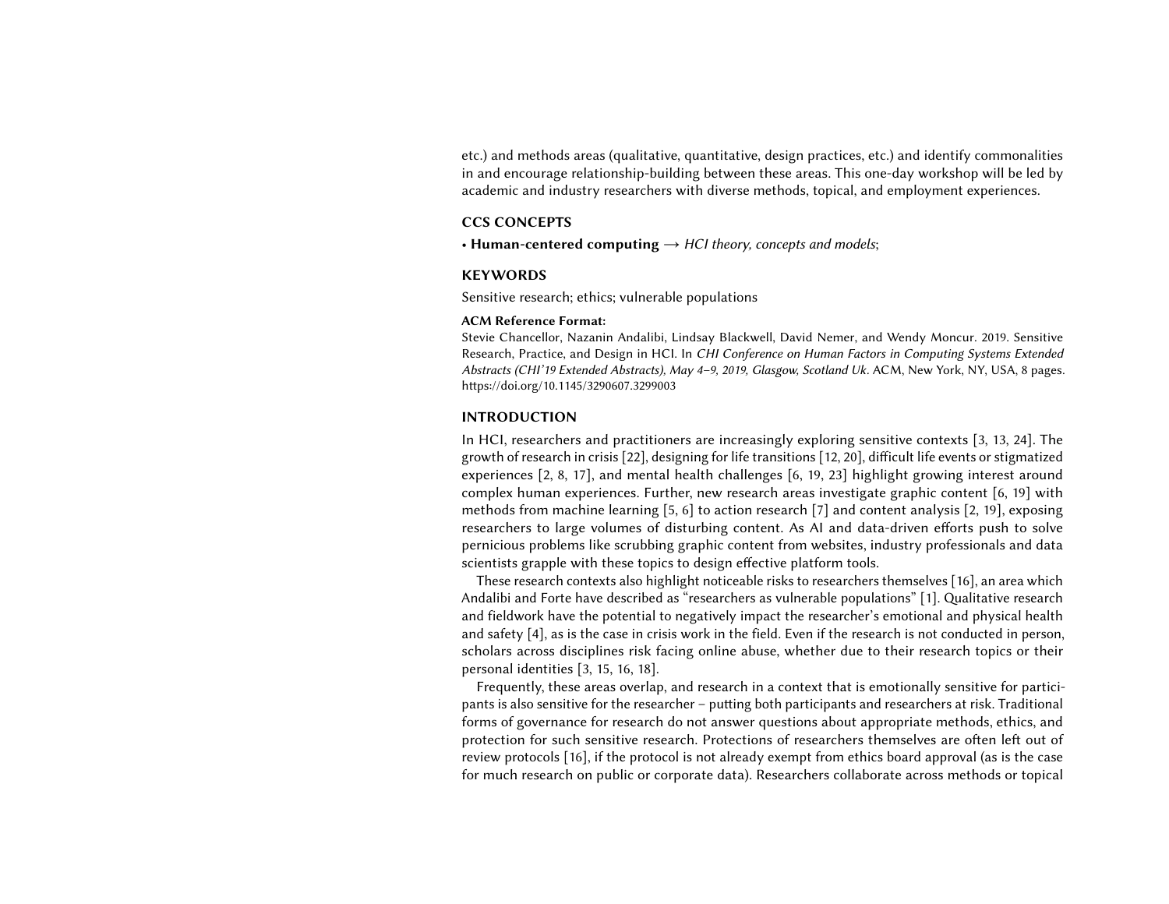etc.) and methods areas (qualitative, quantitative, design practices, etc.) and identify commonalities in and encourage relationship-building between these areas. This one-day workshop will be led by academic and industry researchers with diverse methods, topical, and employment experiences.

#### CCS CONCEPTS

• Human-centered computing  $\rightarrow$  HCI theory, concepts and models;

#### **KEYWORDS**

Sensitive research; ethics; vulnerable populations

#### ACM Reference Format:

Stevie Chancellor, Nazanin Andalibi, Lindsay Blackwell, David Nemer, and Wendy Moncur. 2019. Sensitive Research, Practice, and Design in HCI. In CHI Conference on Human Factors in Computing Systems Extended Abstracts (CHI'19 Extended Abstracts), May 4–9, 2019, Glasgow, Scotland Uk. ACM, New York, NY, USA, [8](#page-8-0) pages. <https://doi.org/10.1145/3290607.3299003>

#### INTRODUCTION

In HCI, researchers and practitioners are increasingly exploring sensitive contexts [\[3,](#page-7-0) [13,](#page-8-1) [24\]](#page-8-2). The growth of research in crisis [\[22\]](#page-8-3), designing for life transitions [\[12,](#page-8-4) [20\]](#page-8-5), difficult life events or stigmatized experiences [\[2,](#page-7-1) [8,](#page-8-6) [17\]](#page-8-7), and mental health challenges [\[6,](#page-7-2) [19,](#page-8-8) [23\]](#page-8-9) highlight growing interest around complex human experiences. Further, new research areas investigate graphic content [\[6,](#page-7-2) [19\]](#page-8-8) with methods from machine learning [\[5,](#page-7-3) [6\]](#page-7-2) to action research [\[7\]](#page-7-4) and content analysis [\[2,](#page-7-1) [19\]](#page-8-8), exposing researchers to large volumes of disturbing content. As AI and data-driven efforts push to solve pernicious problems like scrubbing graphic content from websites, industry professionals and data scientists grapple with these topics to design effective platform tools.

These research contexts also highlight noticeable risks to researchers themselves [\[16\]](#page-8-10), an area which Andalibi and Forte have described as "researchers as vulnerable populations" [\[1\]](#page-7-5). Qualitative research and fieldwork have the potential to negatively impact the researcher's emotional and physical health and safety [\[4\]](#page-7-6), as is the case in crisis work in the field. Even if the research is not conducted in person, scholars across disciplines risk facing online abuse, whether due to their research topics or their personal identities [\[3,](#page-7-0) [15,](#page-8-11) [16,](#page-8-10) [18\]](#page-8-12).

Frequently, these areas overlap, and research in a context that is emotionally sensitive for participants is also sensitive for the researcher – putting both participants and researchers at risk. Traditional forms of governance for research do not answer questions about appropriate methods, ethics, and protection for such sensitive research. Protections of researchers themselves are often left out of review protocols [\[16\]](#page-8-10), if the protocol is not already exempt from ethics board approval (as is the case for much research on public or corporate data). Researchers collaborate across methods or topical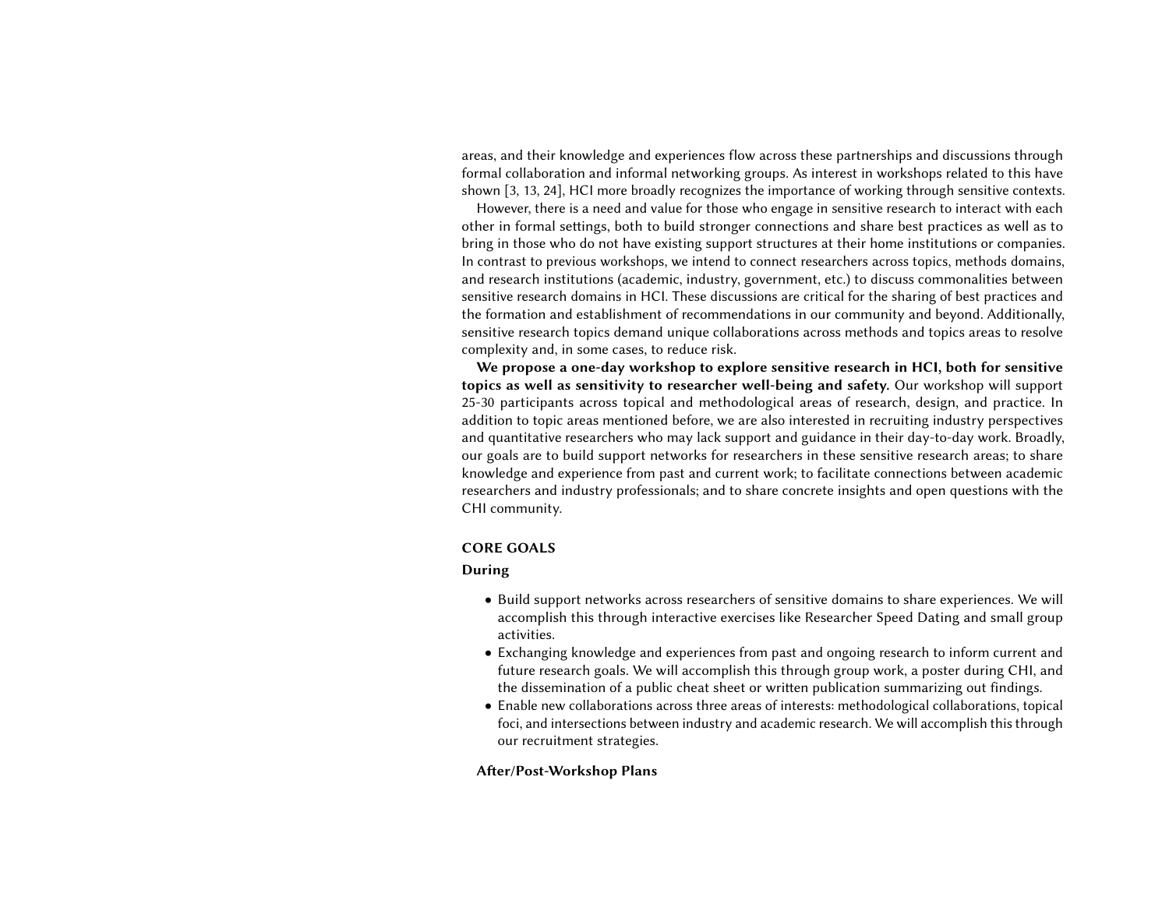areas, and their knowledge and experiences flow across these partnerships and discussions through formal collaboration and informal networking groups. As interest in workshops related to this have shown [\[3,](#page-7-0) [13,](#page-8-1) [24\]](#page-8-2), HCI more broadly recognizes the importance of working through sensitive contexts.

However, there is a need and value for those who engage in sensitive research to interact with each other in formal settings, both to build stronger connections and share best practices as well as to bring in those who do not have existing support structures at their home institutions or companies. In contrast to previous workshops, we intend to connect researchers across topics, methods domains, and research institutions (academic, industry, government, etc.) to discuss commonalities between sensitive research domains in HCI. These discussions are critical for the sharing of best practices and the formation and establishment of recommendations in our community and beyond. Additionally, sensitive research topics demand unique collaborations across methods and topics areas to resolve complexity and, in some cases, to reduce risk.

We propose a one-day workshop to explore sensitive research in HCI, both for sensitive topics as well as sensitivity to researcher well-being and safety. Our workshop will support 25-30 participants across topical and methodological areas of research, design, and practice. In addition to topic areas mentioned before, we are also interested in recruiting industry perspectives and quantitative researchers who may lack support and guidance in their day-to-day work. Broadly, our goals are to build support networks for researchers in these sensitive research areas; to share knowledge and experience from past and current work; to facilitate connections between academic researchers and industry professionals; and to share concrete insights and open questions with the CHI community.

### CORE GOALS

#### During

- Build support networks across researchers of sensitive domains to share experiences. We will accomplish this through interactive exercises like Researcher Speed Dating and small group activities.
- Exchanging knowledge and experiences from past and ongoing research to inform current and future research goals. We will accomplish this through group work, a poster during CHI, and the dissemination of a public cheat sheet or written publication summarizing out findings.
- Enable new collaborations across three areas of interests: methodological collaborations, topical foci, and intersections between industry and academic research. We will accomplish this through our recruitment strategies.

#### After/Post-Workshop Plans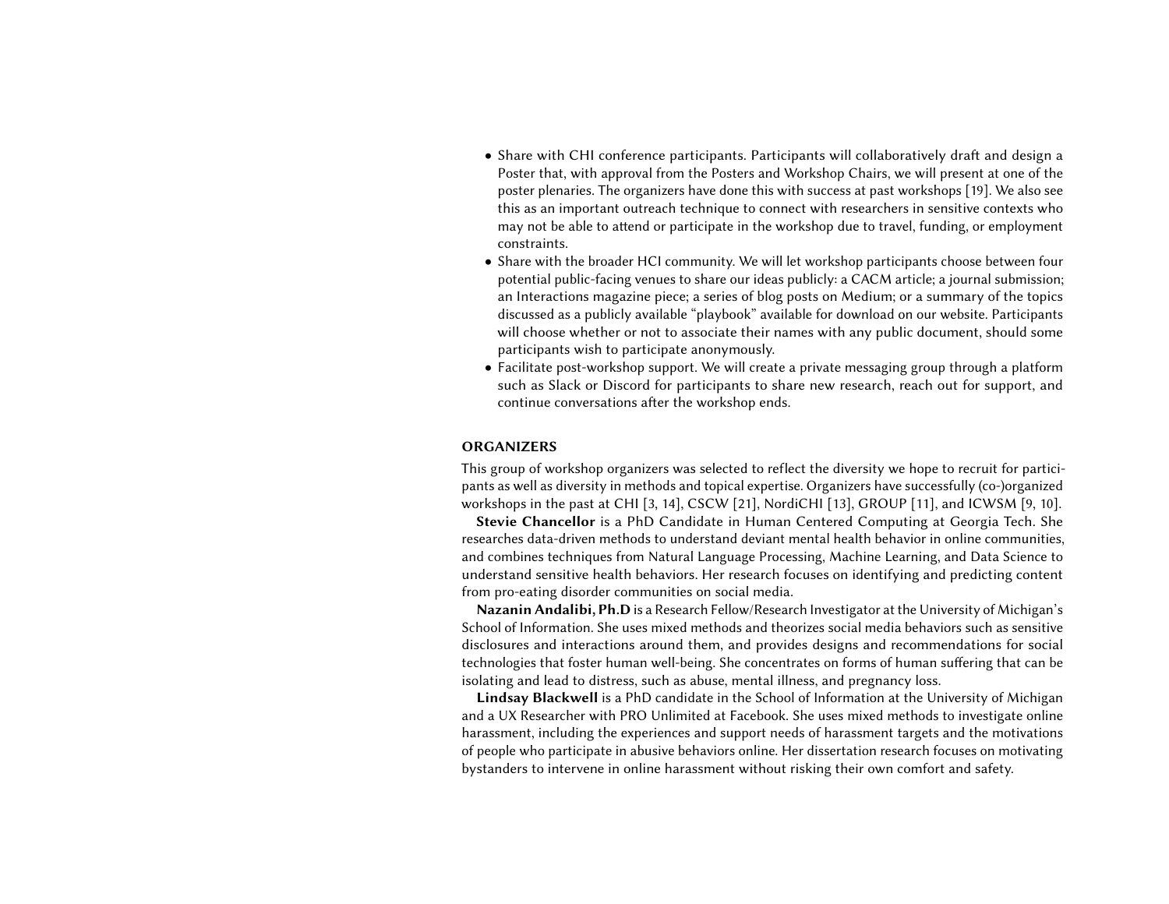- Share with CHI conference participants. Participants will collaboratively draft and design a Poster that, with approval from the Posters and Workshop Chairs, we will present at one of the poster plenaries. The organizers have done this with success at past workshops [19]. We also see this as an important outreach technique to connect with researchers in sensitive contexts who may not be able to attend or participate in the workshop due to travel, funding, or employment constraints.
- Share with the broader HCI community. We will let workshop participants choose between four potential public-facing venues to share our ideas publicly: a CACM article; a journal submission; an Interactions magazine piece; a series of blog posts on Medium; or a summary of the topics discussed as a publicly available "playbook" available for download on our website. Participants will choose whether or not to associate their names with any public document, should some participants wish to participate anonymously.
- Facilitate post-workshop support. We will create a private messaging group through a platform such as Slack or Discord for participants to share new research, reach out for support, and continue conversations after the workshop ends.

#### **ORGANIZERS**

This group of workshop organizers was selected to reflect the diversity we hope to recruit for participants as well as diversity in methods and topical expertise. Organizers have successfully (co-)organized workshops in the past at CHI [\[3,](#page-7-0) [14\]](#page-8-13), CSCW [\[21\]](#page-8-14), NordiCHI [\[13\]](#page-8-1), GROUP [\[11\]](#page-8-15), and ICWSM [\[9,](#page-8-16) [10\]](#page-8-17).

Stevie Chancellor is a PhD Candidate in Human Centered Computing at Georgia Tech. She researches data-driven methods to understand deviant mental health behavior in online communities, and combines techniques from Natural Language Processing, Machine Learning, and Data Science to understand sensitive health behaviors. Her research focuses on identifying and predicting content from pro-eating disorder communities on social media.

Nazanin Andalibi, Ph.D is a Research Fellow/Research Investigator at the University of Michigan's School of Information. She uses mixed methods and theorizes social media behaviors such as sensitive disclosures and interactions around them, and provides designs and recommendations for social technologies that foster human well-being. She concentrates on forms of human suffering that can be isolating and lead to distress, such as abuse, mental illness, and pregnancy loss.

Lindsay Blackwell is a PhD candidate in the School of Information at the University of Michigan and a UX Researcher with PRO Unlimited at Facebook. She uses mixed methods to investigate online harassment, including the experiences and support needs of harassment targets and the motivations of people who participate in abusive behaviors online. Her dissertation research focuses on motivating bystanders to intervene in online harassment without risking their own comfort and safety.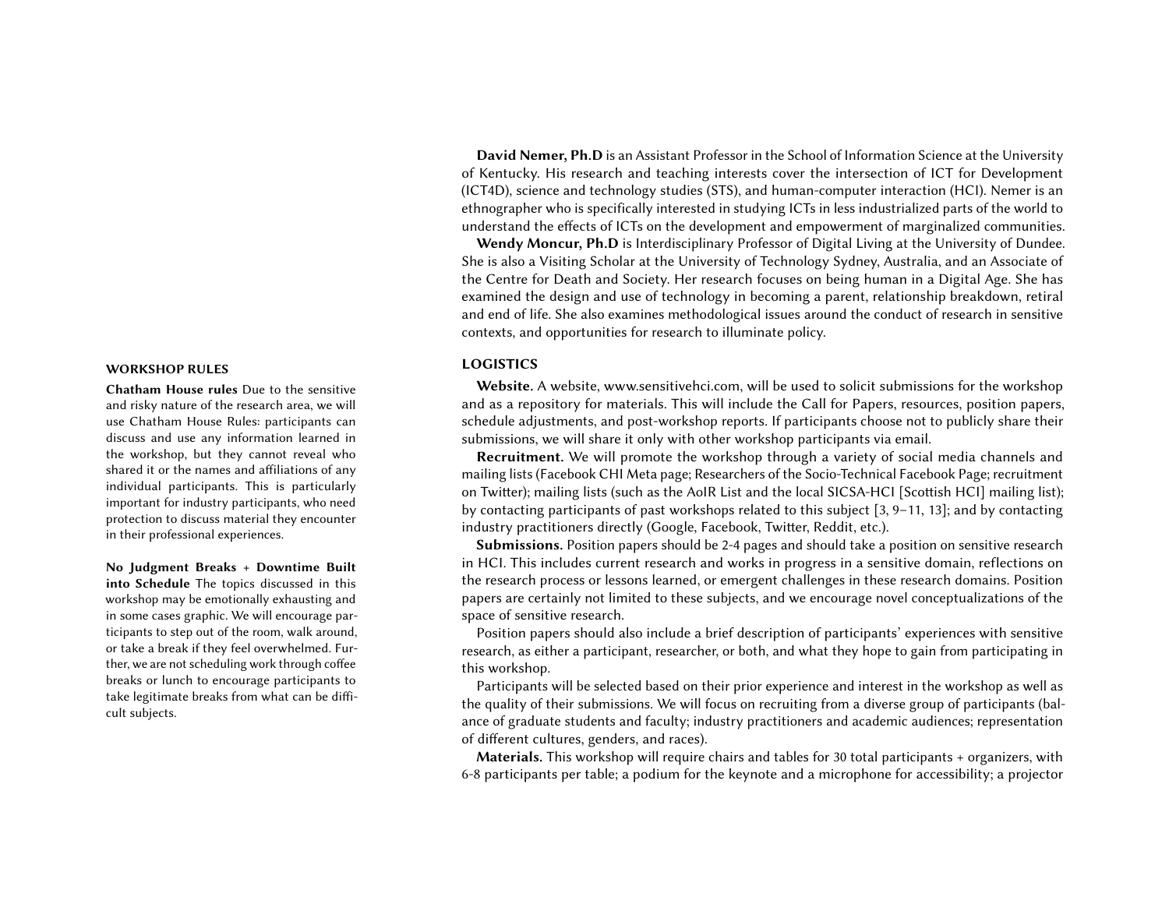# WORKSHOP RULES LOGISTICS

Chatham House rules Due to the sensitive and risky nature of the research area, we will use Chatham House Rules: participants can discuss and use any information learned in the workshop, but they cannot reveal who shared it or the names and affiliations of any individual participants. This is particularly important for industry participants, who need protection to discuss material they encounter in their professional experiences.

No Judgment Breaks + Downtime Built into Schedule The topics discussed in this workshop may be emotionally exhausting and in some cases graphic. We will encourage participants to step out of the room, walk around, or take a break if they feel overwhelmed. Further, we are not scheduling work through coffee breaks or lunch to encourage participants to take legitimate breaks from what can be difficult subjects.

David Nemer, Ph.D is an Assistant Professor in the School of Information Science at the University of Kentucky. His research and teaching interests cover the intersection of ICT for Development (ICT4D), science and technology studies (STS), and human-computer interaction (HCI). Nemer is an ethnographer who is specifically interested in studying ICTs in less industrialized parts of the world to understand the effects of ICTs on the development and empowerment of marginalized communities.

Wendy Moncur, Ph.D is Interdisciplinary Professor of Digital Living at the University of Dundee. She is also a Visiting Scholar at the University of Technology Sydney, Australia, and an Associate of the Centre for Death and Society. Her research focuses on being human in a Digital Age. She has examined the design and use of technology in becoming a parent, relationship breakdown, retiral and end of life. She also examines methodological issues around the conduct of research in sensitive contexts, and opportunities for research to illuminate policy.

Website. A website, www.sensitivehci.com, will be used to solicit submissions for the workshop and as a repository for materials. This will include the Call for Papers, resources, position papers, schedule adjustments, and post-workshop reports. If participants choose not to publicly share their submissions, we will share it only with other workshop participants via email.

Recruitment. We will promote the workshop through a variety of social media channels and mailing lists (Facebook CHI Meta page; Researchers of the Socio-Technical Facebook Page; recruitment on Twitter); mailing lists (such as the AoIR List and the local SICSA-HCI [Scottish HCI] mailing list); by contacting participants of past workshops related to this subject [\[3,](#page-7-0) [9](#page-8-16)[–11,](#page-8-15) [13\]](#page-8-1); and by contacting industry practitioners directly (Google, Facebook, Twitter, Reddit, etc.).

Submissions. Position papers should be 2-4 pages and should take a position on sensitive research in HCI. This includes current research and works in progress in a sensitive domain, reflections on the research process or lessons learned, or emergent challenges in these research domains. Position papers are certainly not limited to these subjects, and we encourage novel conceptualizations of the space of sensitive research.

Position papers should also include a brief description of participants' experiences with sensitive research, as either a participant, researcher, or both, and what they hope to gain from participating in this workshop.

Participants will be selected based on their prior experience and interest in the workshop as well as the quality of their submissions. We will focus on recruiting from a diverse group of participants (balance of graduate students and faculty; industry practitioners and academic audiences; representation of different cultures, genders, and races).

Materials. This workshop will require chairs and tables for 30 total participants + organizers, with 6-8 participants per table; a podium for the keynote and a microphone for accessibility; a projector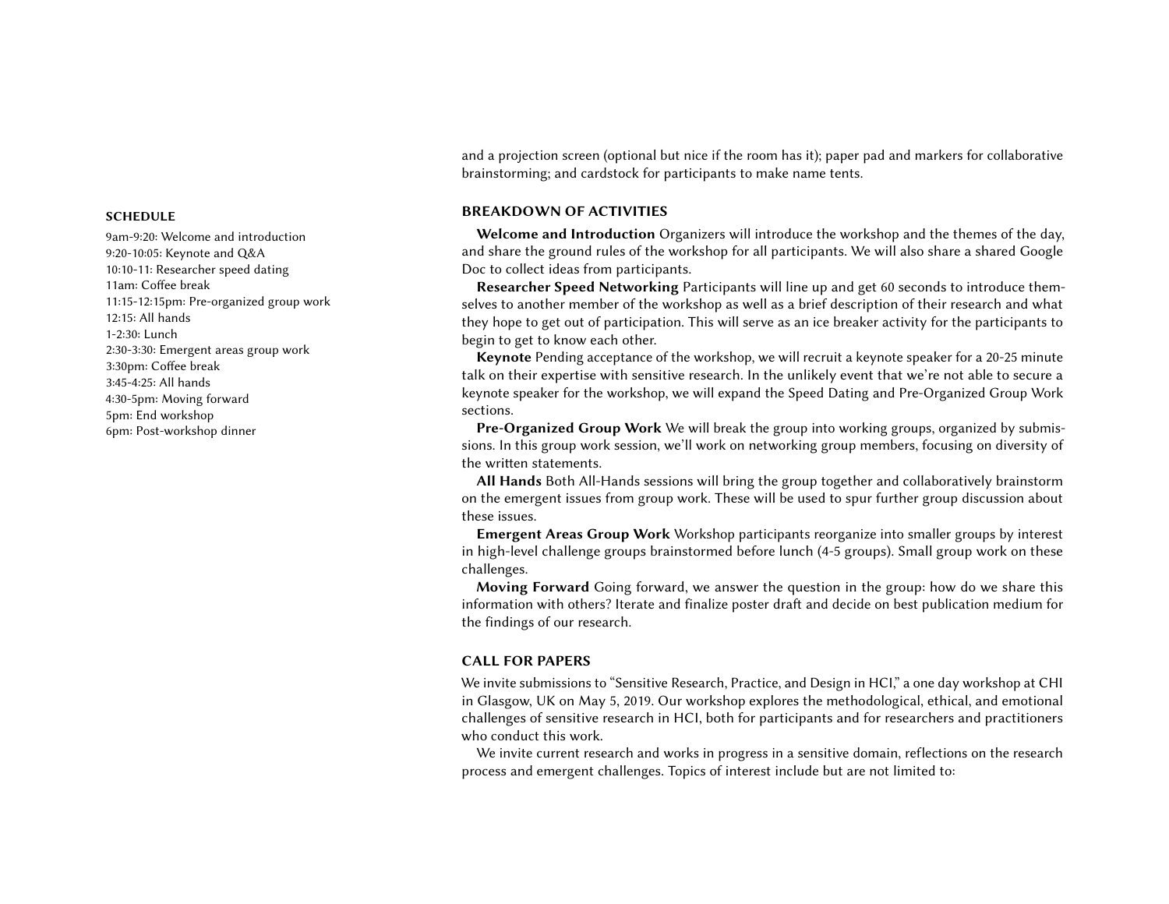9am-9:20: Welcome and introduction 9:20-10:05: Keynote and Q&A 10:10-11: Researcher speed dating 11am: Coffee break 11:15-12:15pm: Pre-organized group work 12:15: All hands 1-2:30: Lunch 2:30-3:30: Emergent areas group work 3:30pm: Coffee break 3:45-4:25: All hands 4:30-5pm: Moving forward 5pm: End workshop 6pm: Post-workshop dinner

and a projection screen (optional but nice if the room has it); paper pad and markers for collaborative brainstorming; and cardstock for participants to make name tents.

### SCHEDULE **SCHEDULE** SCHEDULE **SCHEDULE SCHEDULE SCHEDULE SCHEDULE SCHEDULE SCHEDULE**

Welcome and Introduction Organizers will introduce the workshop and the themes of the day, and share the ground rules of the workshop for all participants. We will also share a shared Google Doc to collect ideas from participants.

Researcher Speed Networking Participants will line up and get 60 seconds to introduce themselves to another member of the workshop as well as a brief description of their research and what they hope to get out of participation. This will serve as an ice breaker activity for the participants to begin to get to know each other.

Keynote Pending acceptance of the workshop, we will recruit a keynote speaker for a 20-25 minute talk on their expertise with sensitive research. In the unlikely event that we're not able to secure a keynote speaker for the workshop, we will expand the Speed Dating and Pre-Organized Group Work sections.

Pre-Organized Group Work We will break the group into working groups, organized by submissions. In this group work session, we'll work on networking group members, focusing on diversity of the written statements.

All Hands Both All-Hands sessions will bring the group together and collaboratively brainstorm on the emergent issues from group work. These will be used to spur further group discussion about these issues.

Emergent Areas Group Work Workshop participants reorganize into smaller groups by interest in high-level challenge groups brainstormed before lunch (4-5 groups). Small group work on these challenges.

Moving Forward Going forward, we answer the question in the group: how do we share this information with others? Iterate and finalize poster draft and decide on best publication medium for the findings of our research.

#### CALL FOR PAPERS

We invite submissions to "Sensitive Research, Practice, and Design in HCI," a one day workshop at CHI in Glasgow, UK on May 5, 2019. Our workshop explores the methodological, ethical, and emotional challenges of sensitive research in HCI, both for participants and for researchers and practitioners who conduct this work.

We invite current research and works in progress in a sensitive domain, reflections on the research process and emergent challenges. Topics of interest include but are not limited to: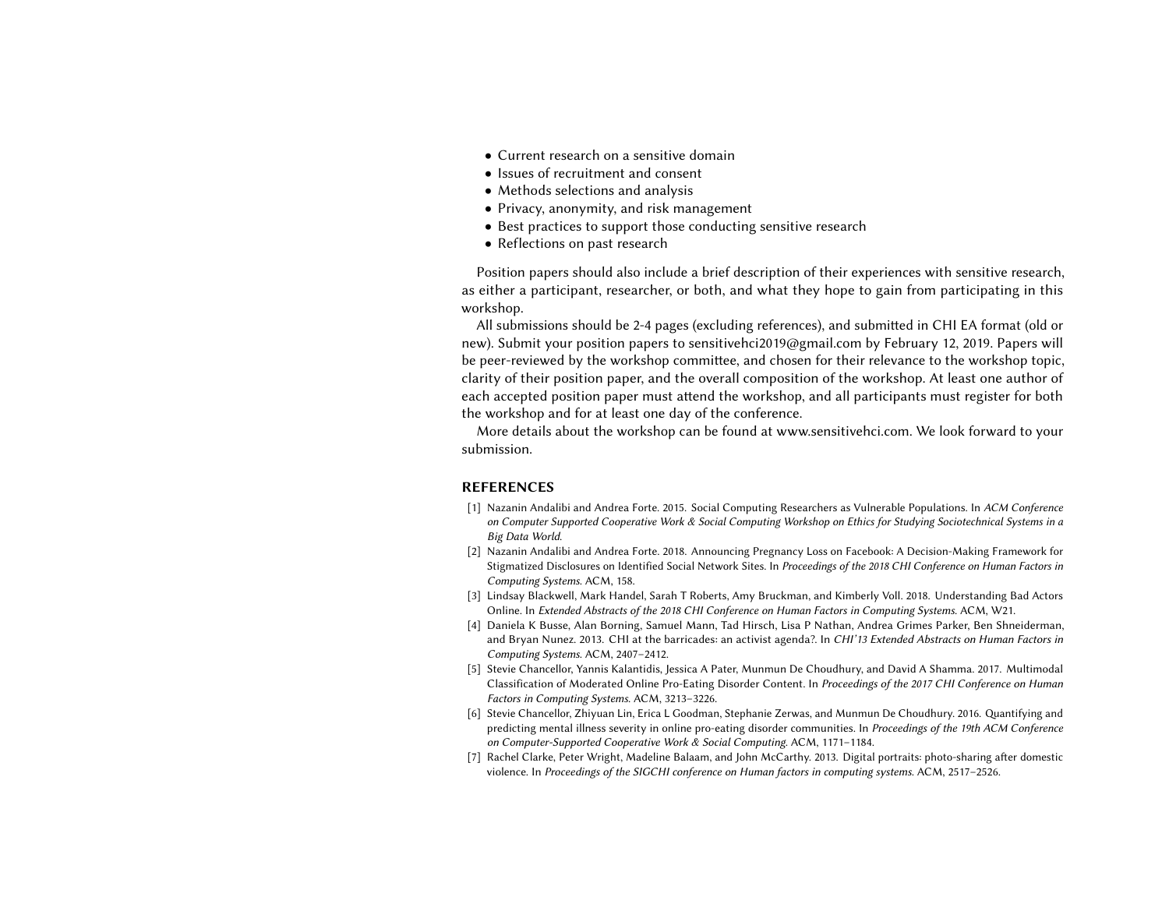- Current research on a sensitive domain
- Issues of recruitment and consent
- Methods selections and analysis
- Privacy, anonymity, and risk management
- Best practices to support those conducting sensitive research
- Reflections on past research

Position papers should also include a brief description of their experiences with sensitive research, as either a participant, researcher, or both, and what they hope to gain from participating in this workshop.

All submissions should be 2-4 pages (excluding references), and submitted in CHI EA format (old or new). Submit your position papers to sensitivehci2019@gmail.com by February 12, 2019. Papers will be peer-reviewed by the workshop committee, and chosen for their relevance to the workshop topic, clarity of their position paper, and the overall composition of the workshop. At least one author of each accepted position paper must attend the workshop, and all participants must register for both the workshop and for at least one day of the conference.

More details about the workshop can be found at www.sensitivehci.com. We look forward to your submission.

### REFERENCES

- <span id="page-7-5"></span>[1] Nazanin Andalibi and Andrea Forte. 2015. Social Computing Researchers as Vulnerable Populations. In ACM Conference on Computer Supported Cooperative Work & Social Computing Workshop on Ethics for Studying Sociotechnical Systems in a Big Data World.
- <span id="page-7-1"></span>[2] Nazanin Andalibi and Andrea Forte. 2018. Announcing Pregnancy Loss on Facebook: A Decision-Making Framework for Stigmatized Disclosures on Identified Social Network Sites. In Proceedings of the 2018 CHI Conference on Human Factors in Computing Systems. ACM, 158.
- <span id="page-7-0"></span>[3] Lindsay Blackwell, Mark Handel, Sarah T Roberts, Amy Bruckman, and Kimberly Voll. 2018. Understanding Bad Actors Online. In Extended Abstracts of the 2018 CHI Conference on Human Factors in Computing Systems. ACM, W21.
- <span id="page-7-6"></span>[4] Daniela K Busse, Alan Borning, Samuel Mann, Tad Hirsch, Lisa P Nathan, Andrea Grimes Parker, Ben Shneiderman, and Bryan Nunez. 2013. CHI at the barricades: an activist agenda?. In CHI'13 Extended Abstracts on Human Factors in Computing Systems. ACM, 2407–2412.
- <span id="page-7-3"></span>[5] Stevie Chancellor, Yannis Kalantidis, Jessica A Pater, Munmun De Choudhury, and David A Shamma. 2017. Multimodal Classification of Moderated Online Pro-Eating Disorder Content. In Proceedings of the 2017 CHI Conference on Human Factors in Computing Systems. ACM, 3213–3226.
- <span id="page-7-2"></span>[6] Stevie Chancellor, Zhiyuan Lin, Erica L Goodman, Stephanie Zerwas, and Munmun De Choudhury. 2016. Quantifying and predicting mental illness severity in online pro-eating disorder communities. In Proceedings of the 19th ACM Conference on Computer-Supported Cooperative Work & Social Computing. ACM, 1171–1184.
- <span id="page-7-4"></span>[7] Rachel Clarke, Peter Wright, Madeline Balaam, and John McCarthy. 2013. Digital portraits: photo-sharing after domestic violence. In Proceedings of the SIGCHI conference on Human factors in computing systems. ACM, 2517-2526.